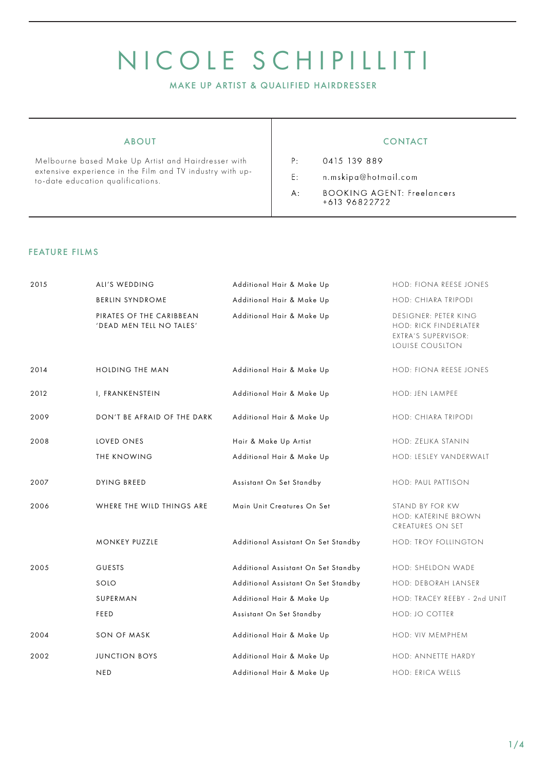# NICOLE SCHIPILLITI

MAKE UP ARTIST & QUALIFIED HAIRDRESSER

Melbourne based Make Up Artist and Hairdresser with extensive experience in the Film and TV industry with upto-date education qualifications.

### ABOUT A RESERVE A LOCAL CONTACT

 $P:$ 0415 139 889

- $E$ : n.mskipa@hotmail.com
- **BOOKING AGENT: Freelancers**  $A$ : +613 96822722

#### FEATURE FILMS

| 2015 | ALI'S WEDDING                                        | Additional Hair & Make Up                                                                                                                                                                                                                                                                                      | HOD: FIONA REESE JONES                                                                  |
|------|------------------------------------------------------|----------------------------------------------------------------------------------------------------------------------------------------------------------------------------------------------------------------------------------------------------------------------------------------------------------------|-----------------------------------------------------------------------------------------|
|      | <b>BERLIN SYNDROME</b>                               | Additional Hair & Make Up                                                                                                                                                                                                                                                                                      | HOD: CHIARA TRIPODI                                                                     |
|      | PIRATES OF THE CARIBBEAN<br>'DEAD MEN TELL NO TALES' | Additional Hair & Make Up<br>Additional Hair & Make Up<br>Additional Hair & Make Up<br>Additional Hair & Make Up<br>Hair & Make Up Artist<br>Additional Hair & Make Up<br>Assistant On Set Standby<br>Main Unit Creatures On Set<br>Additional Assistant On Set Standby<br>Additional Assistant On Set Standby | DESIGNER: PETER KING<br>HOD: RICK FINDERLATER<br>EXTRA'S SUPERVISOR:<br>LOUISE COUSLTON |
| 2014 | <b>HOLDING THE MAN</b>                               |                                                                                                                                                                                                                                                                                                                | HOD: FIONA REESE JONES                                                                  |
| 2012 | I, FRANKENSTEIN                                      |                                                                                                                                                                                                                                                                                                                | HOD: JEN LAMPEE                                                                         |
| 2009 | DON'T BE AFRAID OF THE DARK                          |                                                                                                                                                                                                                                                                                                                | HOD: CHIARA TRIPODI                                                                     |
| 2008 | LOVED ONES                                           |                                                                                                                                                                                                                                                                                                                | HOD: ZELJKA STANIN                                                                      |
|      | THE KNOWING                                          |                                                                                                                                                                                                                                                                                                                | HOD: LESLEY VANDERWALT                                                                  |
| 2007 | <b>DYING BREED</b>                                   |                                                                                                                                                                                                                                                                                                                | HOD: PAUL PATTISON                                                                      |
| 2006 | WHERE THE WILD THINGS ARE                            |                                                                                                                                                                                                                                                                                                                | STAND BY FOR KW<br>HOD: KATERINE BROWN<br>CREATURES ON SET                              |
|      | <b>MONKEY PUZZLE</b>                                 |                                                                                                                                                                                                                                                                                                                | HOD: TROY FOLLINGTON                                                                    |
| 2005 | <b>GUESTS</b>                                        |                                                                                                                                                                                                                                                                                                                | HOD: SHELDON WADE                                                                       |
|      | SOLO                                                 | Additional Assistant On Set Standby                                                                                                                                                                                                                                                                            | HOD: DEBORAH LANSER                                                                     |
|      | SUPERMAN                                             | Additional Hair & Make Up                                                                                                                                                                                                                                                                                      | HOD: TRACEY REEBY - 2nd UNIT                                                            |
|      | FEED                                                 | Assistant On Set Standby                                                                                                                                                                                                                                                                                       | HOD: JO COTTER                                                                          |
| 2004 | SON OF MASK                                          | Additional Hair & Make Up                                                                                                                                                                                                                                                                                      | HOD: VIV MEMPHEM                                                                        |
| 2002 | <b>JUNCTION BOYS</b>                                 | Additional Hair & Make Up                                                                                                                                                                                                                                                                                      | HOD: ANNETTE HARDY                                                                      |
|      | <b>NED</b>                                           | Additional Hair & Make Up                                                                                                                                                                                                                                                                                      | HOD: ERICA WELLS                                                                        |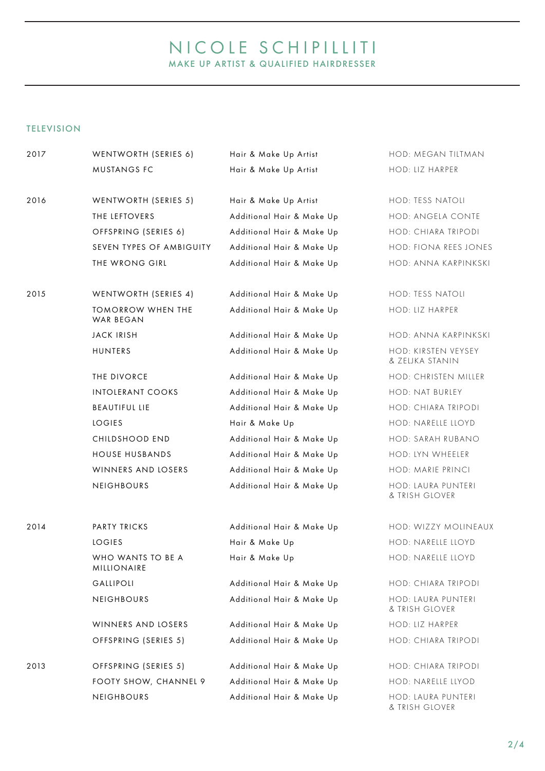# NICOLE SCHIPILLITI MAKE UP ARTIST & QUALIFIED HAIRDRESSER

# TELEVISION

| 2017 | WENTWORTH (SERIES 6)                  | Hair & Make Up Artist     | HOD: MEGAN TILTMAN                     |
|------|---------------------------------------|---------------------------|----------------------------------------|
|      | MUSTANGS FC                           | Hair & Make Up Artist     | HOD: LIZ HARPER                        |
| 2016 | WENTWORTH (SERIES 5)                  | Hair & Make Up Artist     | HOD: TESS NATOLI                       |
|      | THE LEFTOVERS                         | Additional Hair & Make Up | HOD: ANGELA CONTE                      |
|      | OFFSPRING (SERIES 6)                  | Additional Hair & Make Up | HOD: CHIARA TRIPODI                    |
|      | SEVEN TYPES OF AMBIGUITY              | Additional Hair & Make Up | HOD: FIONA REES JONES                  |
|      | THE WRONG GIRL                        | Additional Hair & Make Up | HOD: ANNA KARPINKSKI                   |
| 2015 | WENTWORTH (SERIES 4)                  | Additional Hair & Make Up | HOD: TESS NATOLI                       |
|      | <b>TOMORROW WHEN THE</b><br>WAR BEGAN | Additional Hair & Make Up | HOD: LIZ HARPER                        |
|      | <b>JACK IRISH</b>                     | Additional Hair & Make Up | HOD: ANNA KARPINKSKI                   |
|      | HUNTERS                               | Additional Hair & Make Up | HOD: KIRSTEN VEYSEY<br>& ZELJKA STANIN |
|      | THE DIVORCE                           | Additional Hair & Make Up | HOD: CHRISTEN MILLER                   |
|      | <b>INTOLERANT COOKS</b>               | Additional Hair & Make Up | HOD: NAT BURLEY                        |
|      | <b>BEAUTIFUL LIE</b>                  | Additional Hair & Make Up | HOD: CHIARA TRIPODI                    |
|      | <b>LOGIES</b>                         | Hair & Make Up            | HOD: NARELLE LLOYD                     |
|      | CHILDSHOOD END                        | Additional Hair & Make Up | HOD: SARAH RUBANO                      |
|      | <b>HOUSE HUSBANDS</b>                 | Additional Hair & Make Up | HOD: LYN WHEELER                       |
|      | WINNERS AND LOSERS                    | Additional Hair & Make Up | HOD: MARIE PRINCI                      |
|      | NEIGHBOURS                            | Additional Hair & Make Up | HOD: LAURA PUNTERI<br>& TRISH GLOVER   |
| 2014 | PARTY TRICKS                          | Additional Hair & Make Up | HOD: WIZZY MOLINEAUX                   |
|      | <b>LOGIES</b>                         | Hair & Make Up            | HOD: NARELLE LLOYD                     |
|      | WHO WANTS TO BE A<br>MILLIONAIRE      | Hair & Make Up            | HOD: NARELLE LLOYD                     |
|      | GALLIPOLI                             | Additional Hair & Make Up | HOD: CHIARA TRIPODI                    |
|      | NEIGHBOURS                            | Additional Hair & Make Up | HOD: LAURA PUNTERI<br>& TRISH GLOVER   |
|      | WINNERS AND LOSERS                    | Additional Hair & Make Up | HOD: LIZ HARPER                        |
|      | OFFSPRING (SERIES 5)                  | Additional Hair & Make Up | HOD: CHIARA TRIPODI                    |
| 2013 | OFFSPRING (SERIES 5)                  | Additional Hair & Make Up | HOD: CHIARA TRIPODI                    |
|      | FOOTY SHOW, CHANNEL 9                 | Additional Hair & Make Up | HOD: NARELLE LLYOD                     |
|      | NEIGHBOURS                            | Additional Hair & Make Up | HOD: LAURA PUNTERI<br>& TRISH GLOVER   |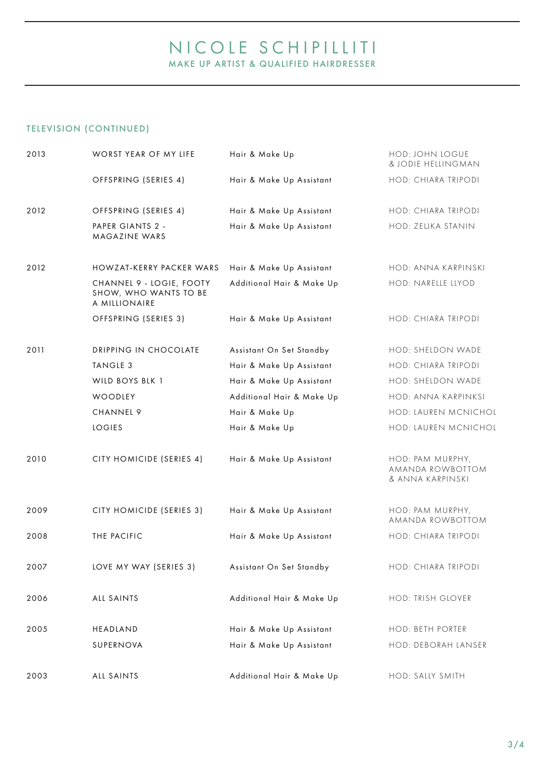# NICOLE SCHIPILLITI MAKE UP ARTIST & QUALIFIED HAIRDRESSER

# TELEVISION (CONTINUED)

| OFFSPRING (SERIES 4)<br>Hair & Make Up Assistant<br>2012<br>OFFSPRING (SERIES 4)<br>Hair & Make Up Assistant<br>PAPER GIANTS 2 -<br>Hair & Make Up Assistant<br>MAGAZINE WARS<br>2012<br>HOWZAT-KERRY PACKER WARS<br>Hair & Make Up Assistant<br>Additional Hair & Make Up<br>CHANNEL 9 - LOGIE, FOOTY<br>SHOW, WHO WANTS TO BE<br>A MILLIONAIRE<br>OFFSPRING (SERIES 3)<br>Hair & Make Up Assistant<br>2011<br>DRIPPING IN CHOCOLATE<br>Assistant On Set Standby<br>TANGLE 3<br>Hair & Make Up Assistant<br>WILD BOYS BLK 1<br>Hair & Make Up Assistant<br>WOODLEY<br>Additional Hair & Make Up | HOD: CHIARA TRIPODI<br>HOD: CHIARA TRIPODI               |
|--------------------------------------------------------------------------------------------------------------------------------------------------------------------------------------------------------------------------------------------------------------------------------------------------------------------------------------------------------------------------------------------------------------------------------------------------------------------------------------------------------------------------------------------------------------------------------------------------|----------------------------------------------------------|
|                                                                                                                                                                                                                                                                                                                                                                                                                                                                                                                                                                                                  |                                                          |
|                                                                                                                                                                                                                                                                                                                                                                                                                                                                                                                                                                                                  |                                                          |
|                                                                                                                                                                                                                                                                                                                                                                                                                                                                                                                                                                                                  | HOD: ZELJKA STANIN                                       |
|                                                                                                                                                                                                                                                                                                                                                                                                                                                                                                                                                                                                  | HOD: ANNA KARPINSKI                                      |
|                                                                                                                                                                                                                                                                                                                                                                                                                                                                                                                                                                                                  | HOD: NARELLE LLYOD                                       |
|                                                                                                                                                                                                                                                                                                                                                                                                                                                                                                                                                                                                  | HOD: CHIARA TRIPODI                                      |
|                                                                                                                                                                                                                                                                                                                                                                                                                                                                                                                                                                                                  | HOD: SHELDON WADE                                        |
|                                                                                                                                                                                                                                                                                                                                                                                                                                                                                                                                                                                                  | HOD: CHIARA TRIPODI                                      |
|                                                                                                                                                                                                                                                                                                                                                                                                                                                                                                                                                                                                  | HOD: SHELDON WADE                                        |
|                                                                                                                                                                                                                                                                                                                                                                                                                                                                                                                                                                                                  | HOD: ANNA KARPINKSI                                      |
| CHANNEL 9<br>Hair & Make Up                                                                                                                                                                                                                                                                                                                                                                                                                                                                                                                                                                      | HOD: LAUREN MCNICHOL                                     |
| <b>LOGIES</b><br>Hair & Make Up                                                                                                                                                                                                                                                                                                                                                                                                                                                                                                                                                                  | HOD: LAUREN MCNICHOL                                     |
| 2010<br>CITY HOMICIDE (SERIES 4)<br>Hair & Make Up Assistant                                                                                                                                                                                                                                                                                                                                                                                                                                                                                                                                     | HOD: PAM MURPHY,<br>AMANDA ROWBOTTOM<br>& ANNA KARPINSKI |
| CITY HOMICIDE (SERIES 3)<br>Hair & Make Up Assistant<br>2009                                                                                                                                                                                                                                                                                                                                                                                                                                                                                                                                     | HOD: PAM MURPHY,<br>AMANDA ROWBOTTOM                     |
| THE PACIFIC<br>2008<br>Hair & Make Up Assistant                                                                                                                                                                                                                                                                                                                                                                                                                                                                                                                                                  | HOD: CHIARA TRIPODI                                      |
| 2007<br>LOVE MY WAY (SERIES 3)<br>Assistant On Set Standby                                                                                                                                                                                                                                                                                                                                                                                                                                                                                                                                       | HOD: CHIARA TRIPODI                                      |
| ALL SAINTS<br>Additional Hair & Make Up<br>2006                                                                                                                                                                                                                                                                                                                                                                                                                                                                                                                                                  | HOD: TRISH GLOVER                                        |
| 2005<br>HEADLAND<br>Hair & Make Up Assistant                                                                                                                                                                                                                                                                                                                                                                                                                                                                                                                                                     | HOD: BETH PORTER                                         |
| SUPERNOVA<br>Hair & Make Up Assistant                                                                                                                                                                                                                                                                                                                                                                                                                                                                                                                                                            | HOD: DEBORAH LANSER                                      |
| Additional Hair & Make Up<br>2003<br>ALL SAINTS                                                                                                                                                                                                                                                                                                                                                                                                                                                                                                                                                  |                                                          |